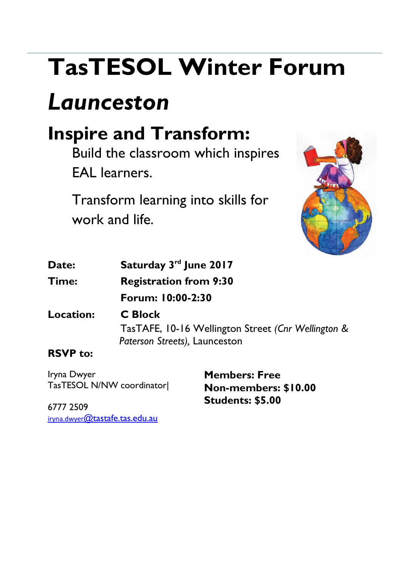# **TasTESOL Winter Forum**

## *Launceston*

### **Inspire and Transform:**

Build the classroom which inspires EAL learners.

Transform learning into skills for work and life.



| Date:        | Saturday 3rd June 2017        |
|--------------|-------------------------------|
| <b>Time:</b> | <b>Registration from 9:30</b> |

**Forum: 10:00-2:30**

**Location: C Block**  TasTAFE, 10-16 Wellington Street *(Cnr Wellington & Paterson Streets),* Launceston

#### **RSVP to:**

Iryna Dwyer TasTESOL N/NW coordinator|

**Members: Free Non-members: \$10.00 Students: \$5.00**

6777 2509 iryna.dwyer[@tastafe.tas.edu.au](mailto:iryna.dwyer@tastafe.tas.edu.au)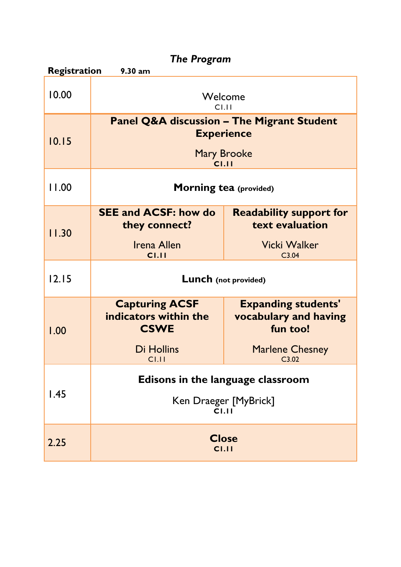| <b>The Program</b>                         |                                                                                                           |                                                                                                    |  |  |
|--------------------------------------------|-----------------------------------------------------------------------------------------------------------|----------------------------------------------------------------------------------------------------|--|--|
| <b>Registration</b><br>9.30 a <sub>m</sub> |                                                                                                           |                                                                                                    |  |  |
| 10.00                                      | Welcome<br>C1.11                                                                                          |                                                                                                    |  |  |
| 10.15                                      | <b>Panel Q&amp;A discussion - The Migrant Student</b><br><b>Experience</b><br><b>Mary Brooke</b><br>C1.11 |                                                                                                    |  |  |
| 11.00                                      | <b>Morning tea (provided)</b>                                                                             |                                                                                                    |  |  |
| 11.30                                      | <b>SEE and ACSF: how do</b><br>they connect?<br>Irena Allen<br>CI.II                                      | <b>Readability support for</b><br>text evaluation<br>Vicki Walker<br>C3.04                         |  |  |
| 12.15                                      | <b>Lunch</b> (not provided)                                                                               |                                                                                                    |  |  |
| 1.00                                       | <b>Capturing ACSF</b><br>indicators within the<br><b>CSWE</b><br>Di Hollins<br>C1.11                      | <b>Expanding students'</b><br>vocabulary and having<br>fun too!<br><b>Marlene Chesney</b><br>C3.02 |  |  |
| 1.45                                       | Edisons in the language classroom<br>Ken Draeger [MyBrick]<br>C1.11                                       |                                                                                                    |  |  |
| 2.25                                       | C1.11                                                                                                     | <b>Close</b>                                                                                       |  |  |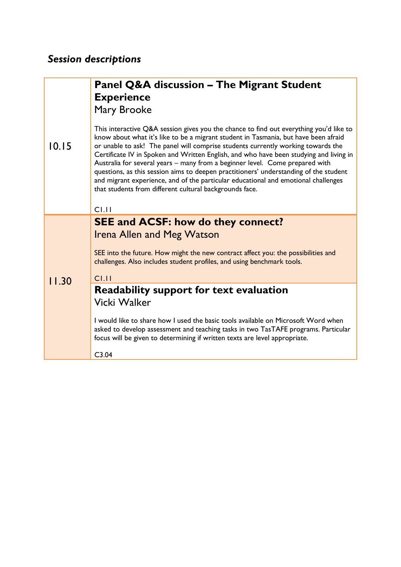#### *Session descriptions*

|       | <b>Panel Q&amp;A discussion – The Migrant Student</b>                                                                                                                                                                                                                                                                                                                                                                                                                                                                                                                                                                                                                                 |
|-------|---------------------------------------------------------------------------------------------------------------------------------------------------------------------------------------------------------------------------------------------------------------------------------------------------------------------------------------------------------------------------------------------------------------------------------------------------------------------------------------------------------------------------------------------------------------------------------------------------------------------------------------------------------------------------------------|
| 10.15 | <b>Experience</b>                                                                                                                                                                                                                                                                                                                                                                                                                                                                                                                                                                                                                                                                     |
|       | Mary Brooke                                                                                                                                                                                                                                                                                                                                                                                                                                                                                                                                                                                                                                                                           |
|       | This interactive Q&A session gives you the chance to find out everything you'd like to<br>know about what it's like to be a migrant student in Tasmania, but have been afraid<br>or unable to ask! The panel will comprise students currently working towards the<br>Certificate IV in Spoken and Written English, and who have been studying and living in<br>Australia for several years - many from a beginner level. Come prepared with<br>questions, as this session aims to deepen practitioners' understanding of the student<br>and migrant experience, and of the particular educational and emotional challenges<br>that students from different cultural backgrounds face. |
|       | C1.11                                                                                                                                                                                                                                                                                                                                                                                                                                                                                                                                                                                                                                                                                 |
| 11.30 | <b>SEE and ACSF: how do they connect?</b>                                                                                                                                                                                                                                                                                                                                                                                                                                                                                                                                                                                                                                             |
|       | <b>Irena Allen and Meg Watson</b>                                                                                                                                                                                                                                                                                                                                                                                                                                                                                                                                                                                                                                                     |
|       | SEE into the future. How might the new contract affect you: the possibilities and<br>challenges. Also includes student profiles, and using benchmark tools.                                                                                                                                                                                                                                                                                                                                                                                                                                                                                                                           |
|       | $C$ <sub>1.11</sub>                                                                                                                                                                                                                                                                                                                                                                                                                                                                                                                                                                                                                                                                   |
|       | Readability support for text evaluation                                                                                                                                                                                                                                                                                                                                                                                                                                                                                                                                                                                                                                               |
|       | Vicki Walker                                                                                                                                                                                                                                                                                                                                                                                                                                                                                                                                                                                                                                                                          |
|       | I would like to share how I used the basic tools available on Microsoft Word when<br>asked to develop assessment and teaching tasks in two TasTAFE programs. Particular<br>focus will be given to determining if written texts are level appropriate.                                                                                                                                                                                                                                                                                                                                                                                                                                 |
|       | C3.04                                                                                                                                                                                                                                                                                                                                                                                                                                                                                                                                                                                                                                                                                 |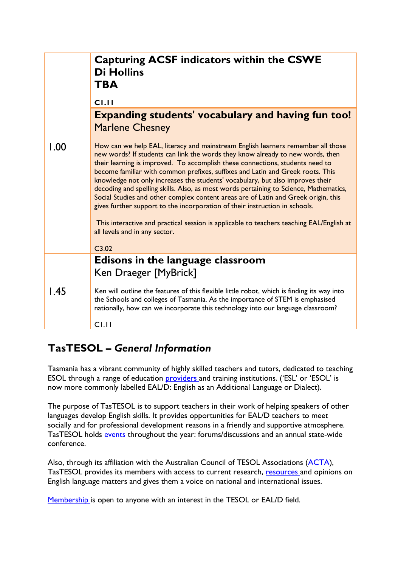|      | <b>Capturing ACSF indicators within the CSWE</b><br><b>Di Hollins</b><br><b>TBA</b><br>C1.11                                                                                                                                                                                                                                                                                                                                                                                                                                                                                                                                                                                                                                                                                                                                |
|------|-----------------------------------------------------------------------------------------------------------------------------------------------------------------------------------------------------------------------------------------------------------------------------------------------------------------------------------------------------------------------------------------------------------------------------------------------------------------------------------------------------------------------------------------------------------------------------------------------------------------------------------------------------------------------------------------------------------------------------------------------------------------------------------------------------------------------------|
|      | <b>Expanding students' vocabulary and having fun too!</b><br><b>Marlene Chesney</b>                                                                                                                                                                                                                                                                                                                                                                                                                                                                                                                                                                                                                                                                                                                                         |
| 1.00 | How can we help EAL, literacy and mainstream English learners remember all those<br>new words? If students can link the words they know already to new words, then<br>their learning is improved. To accomplish these connections, students need to<br>become familiar with common prefixes, suffixes and Latin and Greek roots. This<br>knowledge not only increases the students' vocabulary, but also improves their<br>decoding and spelling skills. Also, as most words pertaining to Science, Mathematics,<br>Social Studies and other complex content areas are of Latin and Greek origin, this<br>gives further support to the incorporation of their instruction in schools.<br>This interactive and practical session is applicable to teachers teaching EAL/English at<br>all levels and in any sector.<br>C3.02 |
|      | Edisons in the language classroom<br>Ken Draeger [MyBrick]                                                                                                                                                                                                                                                                                                                                                                                                                                                                                                                                                                                                                                                                                                                                                                  |
| 1.45 | Ken will outline the features of this flexible little robot, which is finding its way into<br>the Schools and colleges of Tasmania. As the importance of STEM is emphasised<br>nationally, how can we incorporate this technology into our language classroom?<br>C1.11                                                                                                                                                                                                                                                                                                                                                                                                                                                                                                                                                     |

#### **TasTESOL** *– General Information*

Tasmania has a vibrant community of highly skilled teachers and tutors, dedicated to teaching ESOL through a range of education **providers** and training institutions. ('ESL' or 'ESOL' is now more commonly labelled EAL/D: English as an Additional Language or Dialect).

The purpose of TasTESOL is to support teachers in their work of helping speakers of other languages develop English skills. It provides opportunities for EAL/D teachers to meet socially and for professional development reasons in a friendly and supportive atmosphere. TasTESOL holds [events t](http://tastesol.org.au/events/)hroughout the year: forums/discussions and an annual state-wide conference.

Also, through its affiliation with the Australian Council of TESOL Associations [\(ACTA\)](http://tastesol.org.au/affiliations-and-contacts/), TasTESOL provides its members with access to current research, [resources a](http://tastesol.org.au/resources/)nd opinions on English language matters and gives them a voice on national and international issues.

[Membership i](http://tastesol.org.au/membership/)s open to anyone with an interest in the TESOL or EAL/D field.